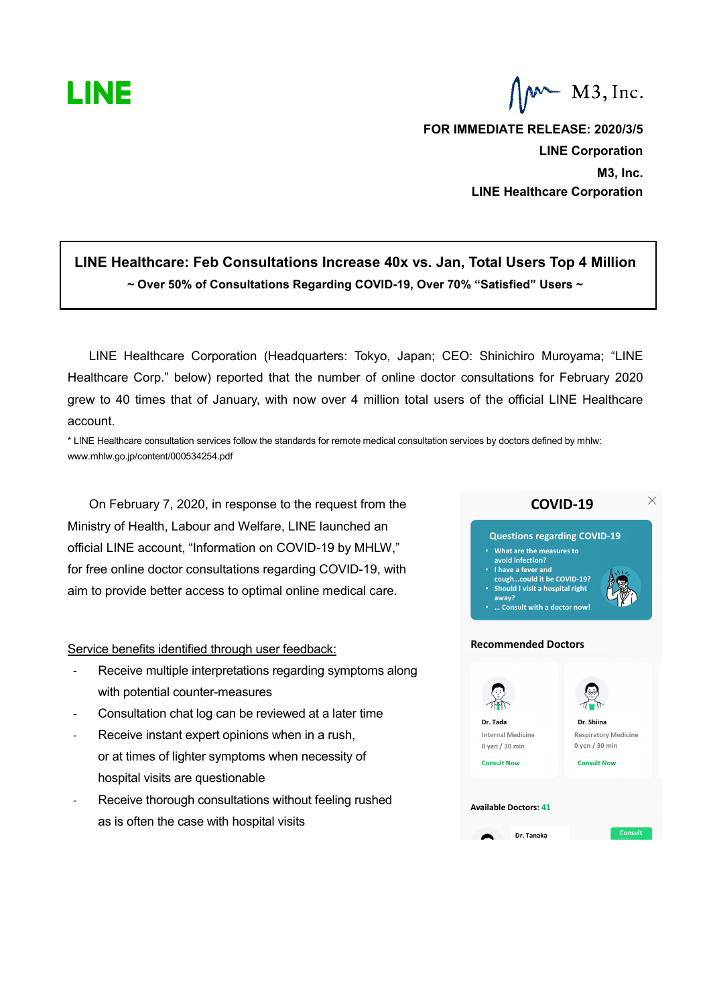

 $M$  M3, Inc.

**FOR IMMEDIATE RELEASE: 2020/3/5 LINE Corporation M3, Inc. LINE Healthcare Corporation**

## **LINE Healthcare: Feb Consultations Increase 40x vs. Jan, Total Users Top 4 Million ~ Over 50% of Consultations Regarding COVID-19, Over 70% "Satisfied" Users ~**

LINE Healthcare Corporation (Headquarters: Tokyo, Japan; CEO: Shinichiro Muroyama; "LINE Healthcare Corp." below) reported that the number of online doctor consultations for February 2020 grew to 40 times that of January, with now over 4 million total users of the official LINE Healthcare account.

\* LINE Healthcare consultation services follow the standards for remote medical consultation services by doctors defined by mhlw: www.mhlw.go.jp/content/000534254.pdf

On February 7, 2020, in response to the request from the Ministry of Health, Labour and Welfare, LINE launched an official LINE account, "Information on COVID-19 by MHLW," for free online doctor consultations regarding COVID-19, with aim to provide better access to optimal online medical care.

## Service benefits identified through user feedback:

- Receive multiple interpretations regarding symptoms along with potential counter-measures
- Consultation chat log can be reviewed at a later time
- Receive instant expert opinions when in a rush, or at times of lighter symptoms when necessity of hospital visits are questionable
- Receive thorough consultations without feeling rushed as is often the case with hospital visits